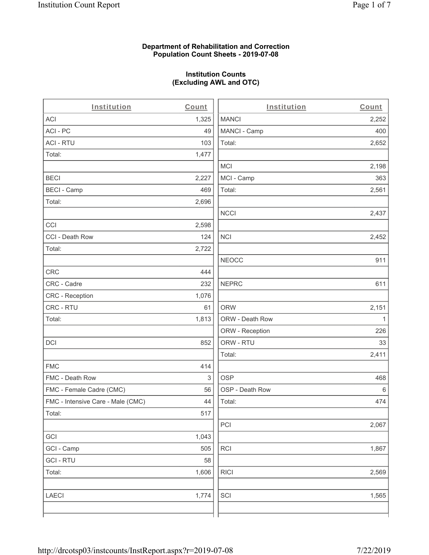#### **Department of Rehabilitation and Correction Population Count Sheets - 2019-07-08**

## **Institution Counts (Excluding AWL and OTC)**

 $\overline{a}$ 

| Institution                       | Count | Institution     | Count        |
|-----------------------------------|-------|-----------------|--------------|
| ACI                               | 1,325 | <b>MANCI</b>    | 2,252        |
| ACI-PC                            | 49    | MANCI - Camp    | 400          |
| <b>ACI - RTU</b>                  | 103   | Total:          | 2,652        |
| Total:                            | 1,477 |                 |              |
|                                   |       | <b>MCI</b>      | 2,198        |
| <b>BECI</b>                       | 2,227 | MCI - Camp      | 363          |
| <b>BECI - Camp</b>                | 469   | Total:          | 2,561        |
| Total:                            | 2,696 |                 |              |
|                                   |       | <b>NCCI</b>     | 2,437        |
| CCI                               | 2,598 |                 |              |
| CCI - Death Row                   | 124   | <b>NCI</b>      | 2,452        |
| Total:                            | 2,722 |                 |              |
|                                   |       | <b>NEOCC</b>    | 911          |
| <b>CRC</b>                        | 444   |                 |              |
| CRC - Cadre                       | 232   | <b>NEPRC</b>    | 611          |
| CRC - Reception                   | 1,076 |                 |              |
| CRC - RTU                         | 61    | <b>ORW</b>      | 2,151        |
| Total:                            | 1,813 | ORW - Death Row | $\mathbf{1}$ |
|                                   |       | ORW - Reception | 226          |
| DCI                               | 852   | ORW - RTU       | 33           |
|                                   |       | Total:          | 2,411        |
| <b>FMC</b>                        | 414   |                 |              |
| FMC - Death Row                   | 3     | <b>OSP</b>      | 468          |
| FMC - Female Cadre (CMC)          | 56    | OSP - Death Row | 6            |
| FMC - Intensive Care - Male (CMC) | 44    | Total:          | 474          |
| Total:                            | 517   |                 |              |
|                                   |       | PCI             | 2,067        |
| GCI                               | 1,043 |                 |              |
| GCI - Camp                        | 505   | <b>RCI</b>      | 1,867        |
| <b>GCI-RTU</b>                    | 58    |                 |              |
| Total:                            | 1,606 | <b>RICI</b>     | 2,569        |
| <b>LAECI</b>                      | 1,774 | SCI             | 1,565        |
|                                   |       |                 |              |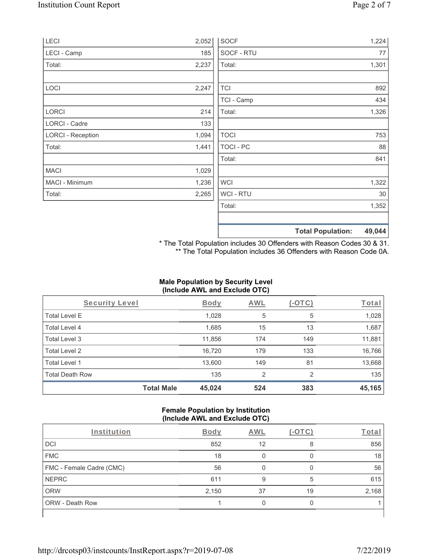| LECI                     | 2,052 | <b>SOCF</b>      | 1,224                              |
|--------------------------|-------|------------------|------------------------------------|
| LECI - Camp              | 185   | SOCF - RTU       | 77                                 |
| Total:                   | 2,237 | Total:           | 1,301                              |
| LOCI                     | 2,247 | <b>TCI</b>       | 892                                |
|                          |       | TCI - Camp       | 434                                |
| LORCI                    | 214   | Total:           | 1,326                              |
| LORCI - Cadre            | 133   |                  |                                    |
| <b>LORCI - Reception</b> | 1,094 | <b>TOCI</b>      | 753                                |
| Total:                   | 1,441 | <b>TOCI - PC</b> | 88                                 |
|                          |       | Total:           | 841                                |
| <b>MACI</b>              | 1,029 |                  |                                    |
| MACI - Minimum           | 1,236 | <b>WCI</b>       | 1,322                              |
| Total:                   | 2,265 | WCI - RTU        | 30                                 |
|                          |       | Total:           | 1,352                              |
|                          |       |                  | <b>Total Population:</b><br>49,044 |

\* The Total Population includes 30 Offenders with Reason Codes 30 & 31. \*\* The Total Population includes 36 Offenders with Reason Code 0A.

## **Male Population by Security Level (Include AWL and Exclude OTC)**

| Security Level         |                   | <b>Body</b> | AWL            | (-OTC) | Total  |
|------------------------|-------------------|-------------|----------------|--------|--------|
| <b>Total Level E</b>   |                   | 1,028       | 5              | 5      | 1,028  |
| <b>Total Level 4</b>   |                   | 1,685       | 15             | 13     | 1,687  |
| Total Level 3          |                   | 11,856      | 174            | 149    | 11,881 |
| Total Level 2          |                   | 16,720      | 179            | 133    | 16,766 |
| Total Level 1          |                   | 13,600      | 149            | 81     | 13,668 |
| <b>Total Death Row</b> |                   | 135         | $\overline{2}$ | 2      | 135    |
|                        | <b>Total Male</b> | 45,024      | 524            | 383    | 45,165 |

#### **Female Population by Institution (Include AWL and Exclude OTC)**

| Institution              | <b>Body</b> | AWL |    | Total |
|--------------------------|-------------|-----|----|-------|
| <b>DCI</b>               | 852         | 12  | 8  | 856   |
| <b>FMC</b>               | 18          |     |    | 18    |
| FMC - Female Cadre (CMC) | 56          |     |    | 56    |
| <b>NEPRC</b>             | 611         | 9   | 5  | 615   |
| <b>ORW</b>               | 2,150       | 37  | 19 | 2,168 |
| <b>ORW - Death Row</b>   |             |     |    |       |
|                          |             |     |    |       |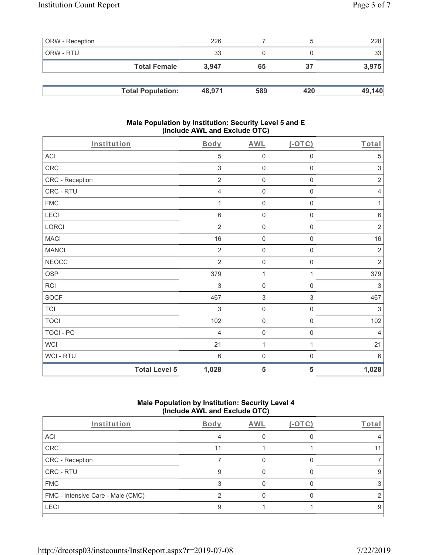| <b>ORW</b> - Reception |                          | 226    |     |     | 228    |
|------------------------|--------------------------|--------|-----|-----|--------|
| ORW - RTU              |                          | 33     |     |     | 33     |
|                        | <b>Total Female</b>      | 3.947  | 65  | 37  | 3,975  |
|                        |                          |        |     |     |        |
|                        | <b>Total Population:</b> | 48,971 | 589 | 420 | 49,140 |

#### **Male Population by Institution: Security Level 5 and E (Include AWL and Exclude OTC)**

| Institution     | <b>Body</b>                   | <b>AWL</b>          | $($ -OTC $)$        | Total          |
|-----------------|-------------------------------|---------------------|---------------------|----------------|
| ACI             | 5                             | $\mathsf{O}\xspace$ | $\mathsf{O}\xspace$ | 5              |
| CRC             | 3                             | $\mathbf 0$         | $\mathsf{O}\xspace$ | 3              |
| CRC - Reception | $\sqrt{2}$                    | $\mathsf 0$         | $\mathbf 0$         | $\sqrt{2}$     |
| CRC - RTU       | $\overline{4}$                | $\mathsf{O}\xspace$ | $\mathsf 0$         | $\sqrt{4}$     |
| <b>FMC</b>      | 1                             | $\mathsf{O}\xspace$ | 0                   | 1              |
| LECI            | $\,6\,$                       | $\mathbf 0$         | $\mathbf 0$         | $\,6\,$        |
| LORCI           | $\overline{2}$                | $\mathbf 0$         | $\mathsf{O}\xspace$ | $\sqrt{2}$     |
| <b>MACI</b>     | 16                            | $\mathsf{O}\xspace$ | $\mathsf{O}\xspace$ | 16             |
| <b>MANCI</b>    | $\overline{2}$                | $\mathbf 0$         | $\mathsf{O}\xspace$ | $\sqrt{2}$     |
| <b>NEOCC</b>    | $\overline{2}$                | $\mathbf 0$         | $\mathsf 0$         | $\sqrt{2}$     |
| <b>OSP</b>      | 379                           | $\mathbf{1}$        | 1                   | 379            |
| RCI             | $\sqrt{3}$                    | $\mathbf 0$         | $\mathsf{O}\xspace$ | $\sqrt{3}$     |
| <b>SOCF</b>     | 467                           | $\sqrt{3}$          | $\,$ 3 $\,$         | 467            |
| <b>TCI</b>      | 3                             | $\mathbf 0$         | $\mathsf{O}\xspace$ | 3              |
| <b>TOCI</b>     | 102                           | $\mathbf 0$         | $\mathsf{O}\xspace$ | 102            |
| TOCI - PC       | $\overline{4}$                | $\mathbf 0$         | $\mathsf{O}\xspace$ | $\overline{4}$ |
| <b>WCI</b>      | 21                            | $\mathbf{1}$        | $\mathbf{1}$        | 21             |
| WCI - RTU       | $6\,$                         | $\mathbf 0$         | $\boldsymbol{0}$    | $6\,$          |
|                 | <b>Total Level 5</b><br>1,028 | 5                   | 5                   | 1,028          |

# **Male Population by Institution: Security Level 4 (Include AWL and Exclude OTC)**

| Institution                       | Body | AWL | $(-OTC)$ | Total |
|-----------------------------------|------|-----|----------|-------|
| ACI                               |      |     |          |       |
| CRC                               | 11   |     |          |       |
| CRC - Reception                   |      |     |          |       |
| CRC - RTU                         |      |     |          |       |
| <b>FMC</b>                        |      |     |          |       |
| FMC - Intensive Care - Male (CMC) |      |     |          |       |
| LECI                              |      |     |          |       |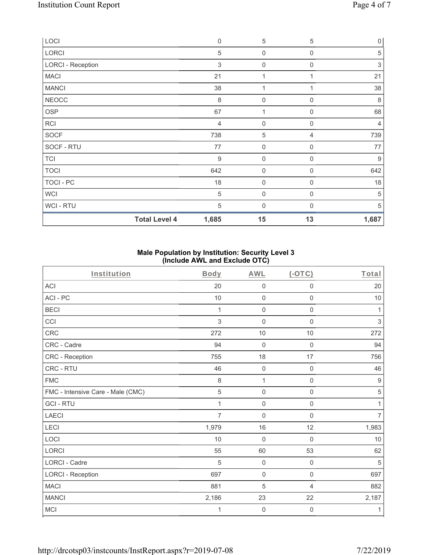| LOCI                     | $\mathbf 0$      | $\mathbf 5$         | 5              | $\mathsf{O}\xspace$ |
|--------------------------|------------------|---------------------|----------------|---------------------|
| LORCI                    | $\sqrt{5}$       | 0                   | $\mathbf 0$    | $\sqrt{5}$          |
| <b>LORCI - Reception</b> | 3                | $\boldsymbol{0}$    | 0              | $\,$ 3 $\,$         |
| <b>MACI</b>              | 21               | 1                   |                | 21                  |
| <b>MANCI</b>             | 38               | 1                   |                | 38                  |
| <b>NEOCC</b>             | 8                | 0                   | $\Omega$       | $\,8\,$             |
| <b>OSP</b>               | 67               |                     | 0              | 68                  |
| <b>RCI</b>               | $\overline{4}$   | $\boldsymbol{0}$    | $\mathbf 0$    | 4                   |
| <b>SOCF</b>              | 738              | 5                   | 4              | 739                 |
| SOCF - RTU               | 77               | $\mathsf{O}\xspace$ | $\mathbf 0$    | 77                  |
| <b>TCI</b>               | $\boldsymbol{9}$ | $\mathbf 0$         | $\mathbf 0$    | $\boldsymbol{9}$    |
| <b>TOCI</b>              | 642              | 0                   | $\Omega$       | 642                 |
| TOCI - PC                | 18               | $\mathsf{O}\xspace$ | 0              | 18                  |
| <b>WCI</b>               | 5                | $\mathbf 0$         | $\overline{0}$ | 5                   |
| WCI - RTU                | 5                | 0                   | $\Omega$       | 5                   |
| <b>Total Level 4</b>     | 1,685            | 15                  | 13             | 1,687               |

### **Male Population by Institution: Security Level 3 (Include AWL and Exclude OTC)**

| Institution                       | Body           | <b>AWL</b>          | $($ -OTC $)$        | Total          |
|-----------------------------------|----------------|---------------------|---------------------|----------------|
| <b>ACI</b>                        | 20             | $\boldsymbol{0}$    | $\boldsymbol{0}$    | 20             |
| ACI-PC                            | $10$           | $\mathsf 0$         | $\mathsf{O}\xspace$ | 10             |
| <b>BECI</b>                       | 1              | $\mathbf 0$         | $\boldsymbol{0}$    | 1              |
| CCI                               | 3              | $\mathbf 0$         | $\mathbf 0$         | $\mathfrak{Z}$ |
| CRC                               | 272            | 10                  | 10                  | 272            |
| CRC - Cadre                       | 94             | $\mathbf 0$         | $\mathsf{O}\xspace$ | 94             |
| CRC - Reception                   | 755            | 18                  | 17                  | 756            |
| CRC - RTU                         | 46             | $\mathbf 0$         | $\mathbf 0$         | 46             |
| <b>FMC</b>                        | 8              | $\mathbf{1}$        | $\mathbf 0$         | $9$            |
| FMC - Intensive Care - Male (CMC) | 5              | $\mathbf 0$         | $\mathbf 0$         | 5              |
| <b>GCI-RTU</b>                    | 1              | $\mathsf{O}\xspace$ | $\boldsymbol{0}$    | 1              |
| <b>LAECI</b>                      | $\overline{7}$ | $\mathbf 0$         | $\mathbf 0$         | $\overline{7}$ |
| <b>LECI</b>                       | 1,979          | 16                  | 12                  | 1,983          |
| LOCI                              | 10             | $\mathbf 0$         | $\mathbf 0$         | 10             |
| <b>LORCI</b>                      | 55             | 60                  | 53                  | 62             |
| <b>LORCI - Cadre</b>              | 5              | $\mathbf 0$         | 0                   | 5              |
| <b>LORCI - Reception</b>          | 697            | $\mathbf 0$         | $\mathsf{O}\xspace$ | 697            |
| <b>MACI</b>                       | 881            | 5                   | $\overline{4}$      | 882            |
| <b>MANCI</b>                      | 2,186          | 23                  | 22                  | 2,187          |
| MCI                               | 1              | $\mathsf{O}\xspace$ | $\boldsymbol{0}$    | 1              |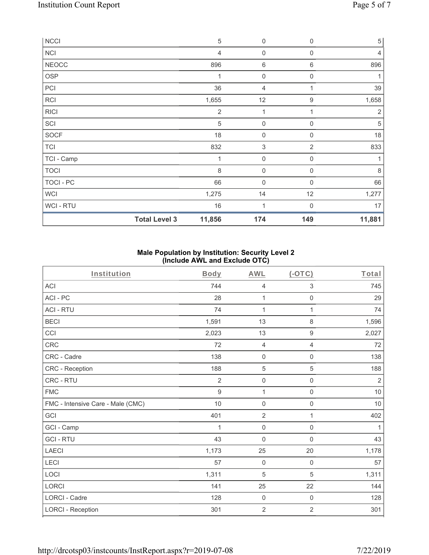| <b>NCCI</b>    |                      | $\sqrt{5}$     | $\boldsymbol{0}$          | $\mathbf 0$    | $\,$ 5 $\,$    |
|----------------|----------------------|----------------|---------------------------|----------------|----------------|
| <b>NCI</b>     |                      | $\overline{4}$ | $\mathsf{O}\xspace$       | $\mathbf 0$    | $\overline{4}$ |
| <b>NEOCC</b>   |                      | 896            | 6                         | 6              | 896            |
| <b>OSP</b>     |                      | 1              | $\boldsymbol{0}$          | $\mathbf 0$    |                |
| PCI            |                      | 36             | 4                         |                | 39             |
| <b>RCI</b>     |                      | 1,655          | 12                        | $9\,$          | 1,658          |
| <b>RICI</b>    |                      | $\overline{2}$ |                           |                | $\overline{2}$ |
| SCI            |                      | 5              | $\mathsf{O}\xspace$       | $\mathbf 0$    | $\sqrt{5}$     |
| <b>SOCF</b>    |                      | 18             | 0                         | $\Omega$       | 18             |
| <b>TCI</b>     |                      | 832            | $\ensuremath{\mathsf{3}}$ | $\overline{2}$ | 833            |
| TCI - Camp     |                      | 1              | $\mathsf{O}\xspace$       | $\mathbf 0$    | 1              |
| <b>TOCI</b>    |                      | 8              | $\boldsymbol{0}$          | $\mathbf 0$    | 8              |
| TOCI - PC      |                      | 66             | $\mathsf{O}\xspace$       | 0              | 66             |
| <b>WCI</b>     |                      | 1,275          | 14                        | 12             | 1,277          |
| <b>WCI-RTU</b> |                      | 16             | $\overline{1}$            | $\Omega$       | 17             |
|                | <b>Total Level 3</b> | 11,856         | 174                       | 149            | 11,881         |

### **Male Population by Institution: Security Level 2 (Include AWL and Exclude OTC)**

| Institution                       | <b>Body</b>      | <b>AWL</b>       | $(-OTC)$                  | Total          |
|-----------------------------------|------------------|------------------|---------------------------|----------------|
| <b>ACI</b>                        | 744              | $\overline{4}$   | $\ensuremath{\mathsf{3}}$ | 745            |
| ACI-PC                            | 28               | 1                | $\mathbf 0$               | 29             |
| <b>ACI - RTU</b>                  | 74               | 1                | 1                         | 74             |
| <b>BECI</b>                       | 1,591            | 13               | $\,8\,$                   | 1,596          |
| CCI                               | 2,023            | 13               | $\boldsymbol{9}$          | 2,027          |
| CRC                               | 72               | $\overline{4}$   | $\overline{4}$            | 72             |
| CRC - Cadre                       | 138              | $\mathbf 0$      | $\boldsymbol{0}$          | 138            |
| CRC - Reception                   | 188              | 5                | 5                         | 188            |
| CRC - RTU                         | $\overline{2}$   | $\mathbf 0$      | $\boldsymbol{0}$          | $\overline{2}$ |
| <b>FMC</b>                        | $\boldsymbol{9}$ | $\mathbf{1}$     | $\mathsf{O}\xspace$       | $10$           |
| FMC - Intensive Care - Male (CMC) | 10               | $\mathbf 0$      | $\mathbf 0$               | $10$           |
| GCI                               | 401              | $\overline{2}$   | $\mathbf{1}$              | 402            |
| GCI - Camp                        | 1                | $\mathbf 0$      | $\mathsf{O}\xspace$       | 1              |
| <b>GCI-RTU</b>                    | 43               | $\mathbf 0$      | $\mathsf{O}\xspace$       | 43             |
| <b>LAECI</b>                      | 1,173            | 25               | 20                        | 1,178          |
| LECI                              | 57               | $\boldsymbol{0}$ | $\mathsf{O}\xspace$       | 57             |
| LOCI                              | 1,311            | 5                | $\sqrt{5}$                | 1,311          |
| <b>LORCI</b>                      | 141              | 25               | 22                        | 144            |
| LORCI - Cadre                     | 128              | $\mathbf 0$      | $\mathsf{O}\xspace$       | 128            |
| <b>LORCI - Reception</b>          | 301              | $\sqrt{2}$       | $\overline{2}$            | 301            |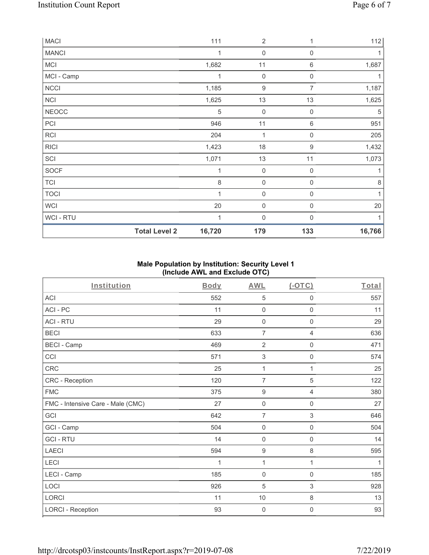| MACI         |                      | 111     | $\overline{2}$   |                  | 112    |
|--------------|----------------------|---------|------------------|------------------|--------|
| <b>MANCI</b> |                      | 1       | $\boldsymbol{0}$ | 0                |        |
| MCI          |                      | 1,682   | 11               | $\,6\,$          | 1,687  |
| MCI - Camp   |                      | 1       | $\mathbf 0$      | $\mathbf 0$      | 1      |
| <b>NCCI</b>  |                      | 1,185   | 9                | 7                | 1,187  |
| NCI          |                      | 1,625   | 13               | 13               | 1,625  |
| <b>NEOCC</b> |                      | 5       | $\mathbf 0$      | 0                | 5      |
| PCI          |                      | 946     | 11               | $\,6\,$          | 951    |
| RCI          |                      | 204     | 1                | 0                | 205    |
| <b>RICI</b>  |                      | 1,423   | 18               | 9                | 1,432  |
| SCI          |                      | 1,071   | 13               | 11               | 1,073  |
| SOCF         |                      | 1       | $\boldsymbol{0}$ | 0                |        |
| <b>TCI</b>   |                      | $\,8\,$ | $\mathbf 0$      | $\mathbf 0$      | 8      |
| <b>TOCI</b>  |                      | 1       | $\mathbf 0$      | $\boldsymbol{0}$ | 1      |
| WCI          |                      | 20      | 0                | 0                | 20     |
| WCI - RTU    |                      | 1       | $\mathbf 0$      | $\Omega$         | 1      |
|              | <b>Total Level 2</b> | 16,720  | 179              | 133              | 16,766 |

# **Male Population by Institution: Security Level 1 (Include AWL and Exclude OTC)**

| Institution                       | <b>Body</b> | <b>AWL</b>          | $($ -OTC $)$        | Total |
|-----------------------------------|-------------|---------------------|---------------------|-------|
| <b>ACI</b>                        | 552         | $\,$ 5 $\,$         | 0                   | 557   |
| ACI-PC                            | 11          | $\mathbf 0$         | 0                   | 11    |
| <b>ACI - RTU</b>                  | 29          | $\mathsf{O}\xspace$ | 0                   | 29    |
| <b>BECI</b>                       | 633         | $\overline{7}$      | 4                   | 636   |
| <b>BECI - Camp</b>                | 469         | $\overline{2}$      | 0                   | 471   |
| CCI                               | 571         | $\,$ 3 $\,$         | 0                   | 574   |
| CRC                               | 25          | 1                   | 1                   | 25    |
| CRC - Reception                   | 120         | $\overline{7}$      | 5                   | 122   |
| <b>FMC</b>                        | 375         | $\boldsymbol{9}$    | $\overline{4}$      | 380   |
| FMC - Intensive Care - Male (CMC) | 27          | $\mathsf{O}\xspace$ | $\mathsf{O}\xspace$ | 27    |
| GCI                               | 642         | $\overline{7}$      | $\,$ 3 $\,$         | 646   |
| GCI - Camp                        | 504         | $\mathbf 0$         | 0                   | 504   |
| <b>GCI-RTU</b>                    | 14          | $\mathsf{O}\xspace$ | 0                   | 14    |
| <b>LAECI</b>                      | 594         | $\boldsymbol{9}$    | 8                   | 595   |
| LECI                              | 1           | 1                   | 1                   | 1     |
| LECI - Camp                       | 185         | $\mathbf 0$         | $\mathbf 0$         | 185   |
| LOCI                              | 926         | 5                   | 3                   | 928   |
| LORCI                             | 11          | $10$                | 8                   | 13    |
| <b>LORCI - Reception</b>          | 93          | $\mathbf 0$         | 0                   | 93    |